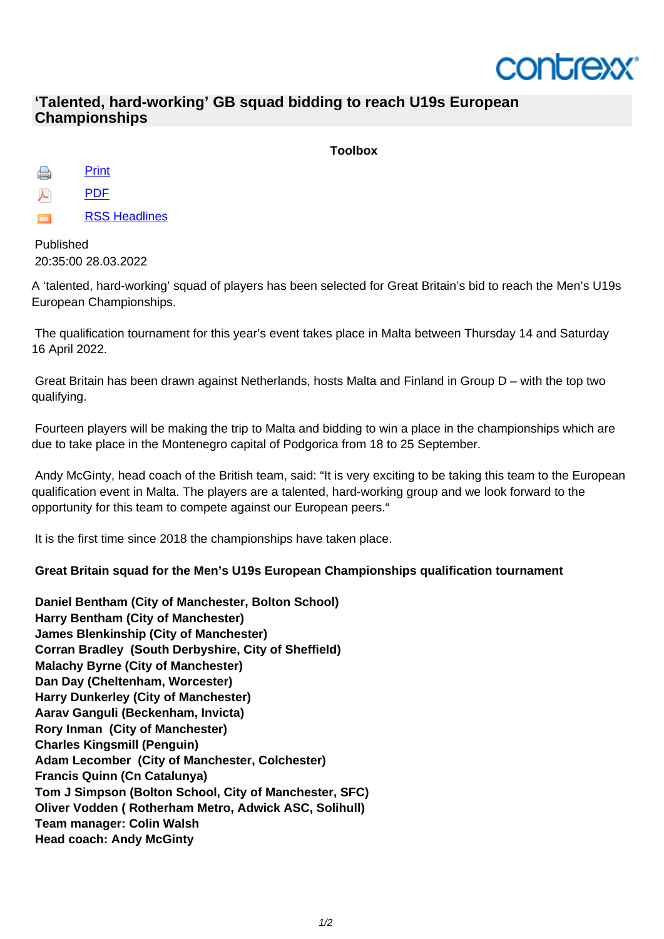## **ONCrexx**

## **'Talented, hard-working' GB squad bidding to reach U19s European Championships**

**Toolbox**

**Print** 

人<br>PDF

**[RSS](index.php?section=news&cmd=details&newsid=1045&pdfview=1&printview=1) Headlines** 

Publishe[d](index.php?section=news&cmd=details&newsid=1045&pdfview=1&pdfview=1)  20:35:00 [28.03.2022](feed/news_headlines_en.xml)

A 'talented, hard-working' squad of players has been selected for Great Britain's bid to reach the Men's U19s European Championships.

 The qualification tournament for this year's event takes place in Malta between Thursday 14 and Saturday 16 April 2022.

 Great Britain has been drawn against Netherlands, hosts Malta and Finland in Group D – with the top two qualifying.

 Fourteen players will be making the trip to Malta and bidding to win a place in the championships which are due to take place in the Montenegro capital of Podgorica from 18 to 25 September.

 Andy McGinty, head coach of the British team, said: "It is very exciting to be taking this team to the European qualification event in Malta. The players are a talented, hard-working group and we look forward to the opportunity for this team to compete against our European peers."

It is the first time since 2018 the championships have taken place.

## **Great Britain squad for the Men's U19s European Championships qualification tournament**

 **Daniel Bentham (City of Manchester, Bolton School) Harry Bentham (City of Manchester) James Blenkinship (City of Manchester) Corran Bradley (South Derbyshire, City of Sheffield) Malachy Byrne (City of Manchester) Dan Day (Cheltenham, Worcester) Harry Dunkerley (City of Manchester) Aarav Ganguli (Beckenham, Invicta) Rory Inman (City of Manchester) Charles Kingsmill (Penguin) Adam Lecomber (City of Manchester, Colchester) Francis Quinn (Cn Catalunya) Tom J Simpson (Bolton School, City of Manchester, SFC) Oliver Vodden ( Rotherham Metro, Adwick ASC, Solihull) Team manager: Colin Walsh Head coach: Andy McGinty**